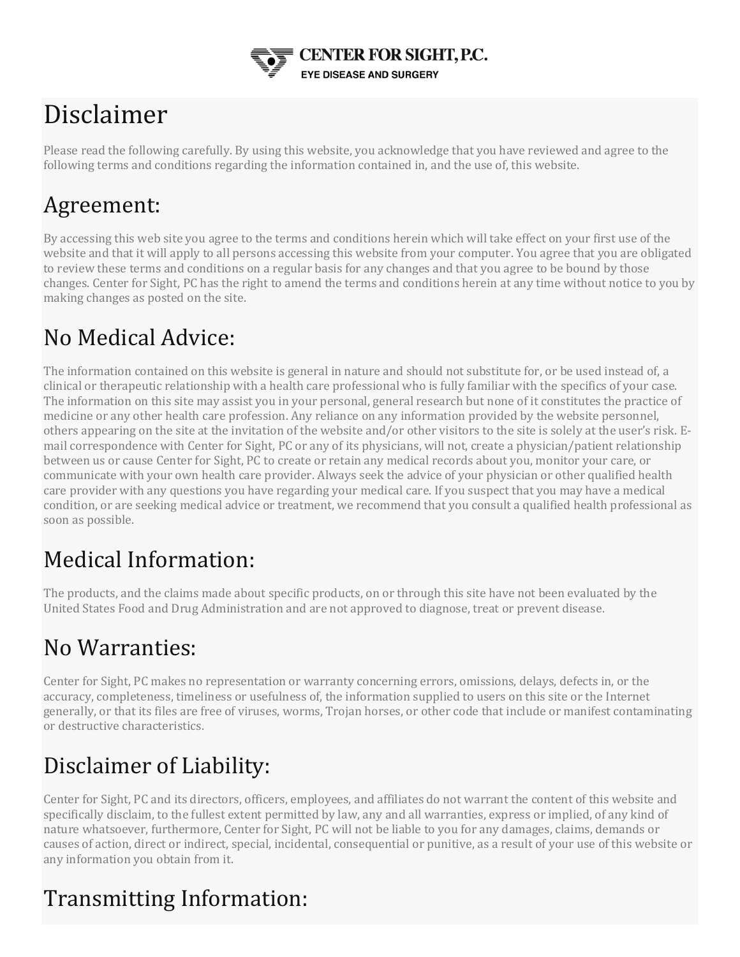

# Disclaimer

Please read the following carefully. By using this website, you acknowledge that you have reviewed and agree to the following terms and conditions regarding the information contained in, and the use of, this website.

#### Agreement:

By accessing this web site you agree to the terms and conditions herein which will take effect on your first use of the website and that it will apply to all persons accessing this website from your computer. You agree that you are obligated to review these terms and conditions on a regular basis for any changes and that you agree to be bound by those changes. Center for Sight, PC has the right to amend the terms and conditions herein at any time without notice to you by making changes as posted on the site.

## No Medical Advice:

The information contained on this website is general in nature and should not substitute for, or be used instead of, a clinical or therapeutic relationship with a health care professional who is fully familiar with the specifics of your case. The information on this site may assist you in your personal, general research but none of it constitutes the practice of medicine or any other health care profession. Any reliance on any information provided by the website personnel, others appearing on the site at the invitation of the website and/or other visitors to the site is solely at the user's risk. Email correspondence with Center for Sight, PC or any of its physicians, will not, create a physician/patient relationship between us or cause Center for Sight, PC to create or retain any medical records about you, monitor your care, or communicate with your own health care provider. Always seek the advice of your physician or other qualified health care provider with any questions you have regarding your medical care. If you suspect that you may have a medical condition, or are seeking medical advice or treatment, we recommend that you consult a qualified health professional as soon as possible.

### Medical Information:

The products, and the claims made about specific products, on or through this site have not been evaluated by the United States Food and Drug Administration and are not approved to diagnose, treat or prevent disease.

### No Warranties:

Center for Sight, PC makes no representation or warranty concerning errors, omissions, delays, defects in, or the accuracy, completeness, timeliness or usefulness of, the information supplied to users on this site or the Internet generally, or that its files are free of viruses, worms, Trojan horses, or other code that include or manifest contaminating or destructive characteristics.

# Disclaimer of Liability:

Center for Sight, PC and its directors, officers, employees, and affiliates do not warrant the content of this website and specifically disclaim, to the fullest extent permitted by law, any and all warranties, express or implied, of any kind of nature whatsoever, furthermore, Center for Sight, PC will not be liable to you for any damages, claims, demands or causes of action, direct or indirect, special, incidental, consequential or punitive, as a result of your use of this website or any information you obtain from it.

# Transmitting Information: